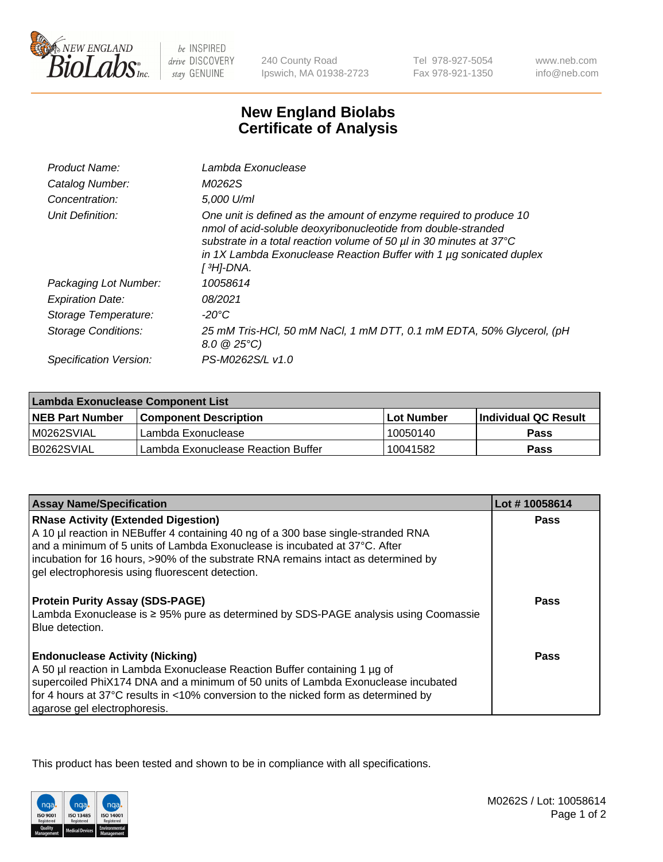

be INSPIRED drive DISCOVERY stay GENUINE

240 County Road Ipswich, MA 01938-2723

Tel 978-927-5054 Fax 978-921-1350

www.neb.com info@neb.com

## **New England Biolabs Certificate of Analysis**

| Product Name:           | Lambda Exonuclease                                                                                                                                                                                                                                                                                               |
|-------------------------|------------------------------------------------------------------------------------------------------------------------------------------------------------------------------------------------------------------------------------------------------------------------------------------------------------------|
| Catalog Number:         | M0262S                                                                                                                                                                                                                                                                                                           |
| Concentration:          | 5,000 U/ml                                                                                                                                                                                                                                                                                                       |
| Unit Definition:        | One unit is defined as the amount of enzyme required to produce 10<br>nmol of acid-soluble deoxyribonucleotide from double-stranded<br>substrate in a total reaction volume of 50 µl in 30 minutes at 37°C<br>in 1X Lambda Exonuclease Reaction Buffer with 1 $\mu$ g sonicated duplex<br>[ <sup>3</sup> H]-DNA. |
| Packaging Lot Number:   | 10058614                                                                                                                                                                                                                                                                                                         |
| <b>Expiration Date:</b> | 08/2021                                                                                                                                                                                                                                                                                                          |
| Storage Temperature:    | $-20^{\circ}$ C                                                                                                                                                                                                                                                                                                  |
| Storage Conditions:     | 25 mM Tris-HCl, 50 mM NaCl, 1 mM DTT, 0.1 mM EDTA, 50% Glycerol, (pH<br>$8.0 \ @ 25^{\circ}C$                                                                                                                                                                                                                    |
| Specification Version:  | PS-M0262S/L v1.0                                                                                                                                                                                                                                                                                                 |

| Lambda Exonuclease Component List |                                    |                   |                             |  |
|-----------------------------------|------------------------------------|-------------------|-----------------------------|--|
| <b>NEB Part Number</b>            | <b>Component Description</b>       | <b>Lot Number</b> | <b>Individual QC Result</b> |  |
| IM0262SVIAL                       | Lambda Exonuclease                 | 10050140          | <b>Pass</b>                 |  |
| IB0262SVIAL                       | Lambda Exonuclease Reaction Buffer | 10041582          | Pass                        |  |

| <b>Assay Name/Specification</b>                                                                                                                                                                                                                                                                                                                         | Lot #10058614 |
|---------------------------------------------------------------------------------------------------------------------------------------------------------------------------------------------------------------------------------------------------------------------------------------------------------------------------------------------------------|---------------|
| <b>RNase Activity (Extended Digestion)</b><br>A 10 µl reaction in NEBuffer 4 containing 40 ng of a 300 base single-stranded RNA<br>and a minimum of 5 units of Lambda Exonuclease is incubated at 37°C. After<br>incubation for 16 hours, >90% of the substrate RNA remains intact as determined by<br>gel electrophoresis using fluorescent detection. | <b>Pass</b>   |
| <b>Protein Purity Assay (SDS-PAGE)</b><br>Lambda Exonuclease is $\geq$ 95% pure as determined by SDS-PAGE analysis using Coomassie<br>Blue detection.                                                                                                                                                                                                   | Pass          |
| <b>Endonuclease Activity (Nicking)</b><br>A 50 µl reaction in Lambda Exonuclease Reaction Buffer containing 1 µg of<br>supercoiled PhiX174 DNA and a minimum of 50 units of Lambda Exonuclease incubated<br>for 4 hours at 37°C results in <10% conversion to the nicked form as determined by<br>agarose gel electrophoresis.                          | Pass          |

This product has been tested and shown to be in compliance with all specifications.